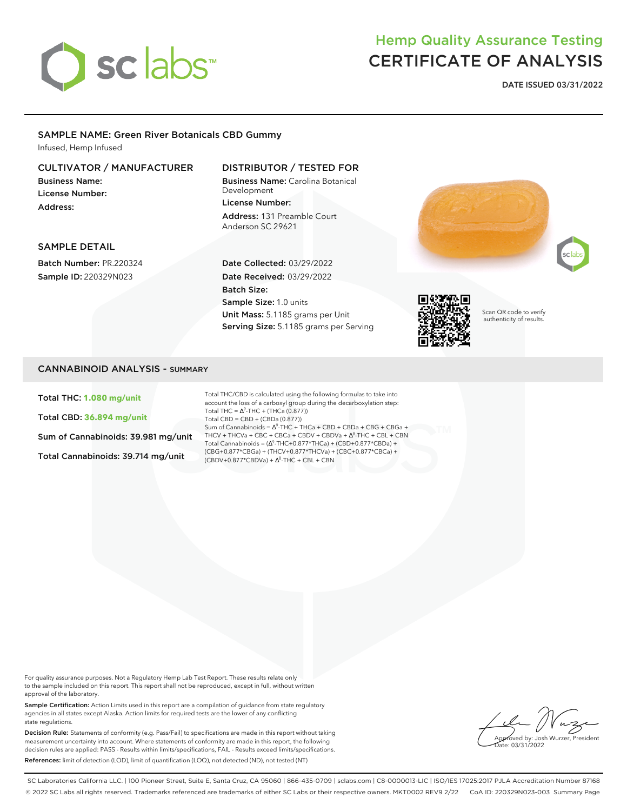

## Hemp Quality Assurance Testing CERTIFICATE OF ANALYSIS

**DATE ISSUED 03/31/2022**

## SAMPLE NAME: Green River Botanicals CBD Gummy

Infused, Hemp Infused

## CULTIVATOR / MANUFACTURER

Business Name: License Number: Address:

## DISTRIBUTOR / TESTED FOR

Business Name: Carolina Botanical Development License Number: Address: 131 Preamble Court Anderson SC 29621





SAMPLE DETAIL

Batch Number: PR.220324 Sample ID: 220329N023

### Date Collected: 03/29/2022 Date Received: 03/29/2022 Batch Size: Sample Size: 1.0 units Unit Mass: 5.1185 grams per Unit Serving Size: 5.1185 grams per Serving



Scan QR code to verify authenticity of results.

## CANNABINOID ANALYSIS - SUMMARY

Total THC: **1.080 mg/unit**

Total CBD: **36.894 mg/unit**

Sum of Cannabinoids: 39.981 mg/unit

Total Cannabinoids: 39.714 mg/unit

Total THC/CBD is calculated using the following formulas to take into account the loss of a carboxyl group during the decarboxylation step: Total THC =  $\Delta^9$ -THC + (THCa (0.877)) Total CBD = CBD + (CBDa (0.877)) Sum of Cannabinoids =  $\Delta^9$ -THC + THCa + CBD + CBDa + CBG + CBGa + THCV + THCVa + CBC + CBCa + CBDV + CBDVa + ∆<sup>8</sup>-THC + CBL + CBN Total Cannabinoids =  $(\Delta^9$ -THC+0.877\*THCa) + (CBD+0.877\*CBDa) + (CBG+0.877\*CBGa) + (THCV+0.877\*THCVa) + (CBC+0.877\*CBCa) +  $(CBDV+0.877*CBDVa) + \Delta^{8}$ -THC + CBL + CBN

For quality assurance purposes. Not a Regulatory Hemp Lab Test Report. These results relate only to the sample included on this report. This report shall not be reproduced, except in full, without written approval of the laboratory.

Sample Certification: Action Limits used in this report are a compilation of guidance from state regulatory agencies in all states except Alaska. Action limits for required tests are the lower of any conflicting state regulations.

Decision Rule: Statements of conformity (e.g. Pass/Fail) to specifications are made in this report without taking measurement uncertainty into account. Where statements of conformity are made in this report, the following decision rules are applied: PASS - Results within limits/specifications, FAIL - Results exceed limits/specifications. References: limit of detection (LOD), limit of quantification (LOO), not detected (ND), not tested (NT)

*<u>Syed by: Josh Wurzer, President</u>*  $\frac{1}{10}$  03/31/2022

SC Laboratories California LLC. | 100 Pioneer Street, Suite E, Santa Cruz, CA 95060 | 866-435-0709 | sclabs.com | C8-0000013-LIC | ISO/IES 17025:2017 PJLA Accreditation Number 87168 © 2022 SC Labs all rights reserved. Trademarks referenced are trademarks of either SC Labs or their respective owners. MKT0002 REV9 2/22 CoA ID: 220329N023-003 Summary Page